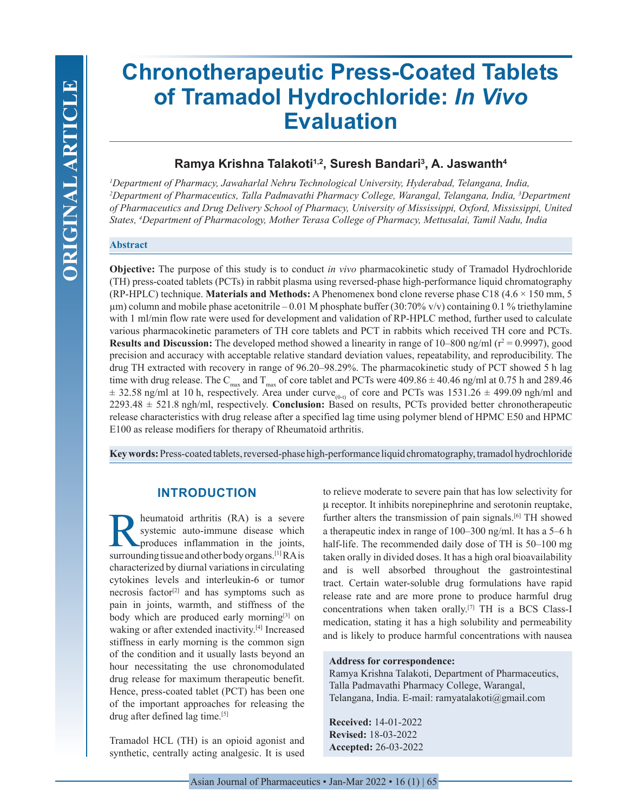# **Chronotherapeutic Press-Coated Tablets of Tramadol Hydrochloride:** *In Vivo* **Evaluation**

# **Ramya Krishna Talakoti1,2, Suresh Bandari3 , A. Jaswanth4**

*1 Department of Pharmacy, Jawaharlal Nehru Technological University, Hyderabad, Telangana, India, 2 Department of Pharmaceutics, Talla Padmavathi Pharmacy College, Warangal, Telangana, India, 3 Department of Pharmaceutics and Drug Delivery School of Pharmacy, University of Mississippi, Oxford, Mississippi, United States, 4 Department of Pharmacology, Mother Terasa College of Pharmacy, Mettusalai, Tamil Nadu, India*

# **Abstract**

**Objective:** The purpose of this study is to conduct *in vivo* pharmacokinetic study of Tramadol Hydrochloride (TH) press-coated tablets (PCTs) in rabbit plasma using reversed-phase high-performance liquid chromatography (RP-HPLC) technique. **Materials and Methods:** A Phenomenex bond clone reverse phase C18 (4.6 × 150 mm, 5 µm) column and mobile phase acetonitrile – 0.01 M phosphate buffer (30:70% v/v) containing 0.1 % triethylamine with 1 ml/min flow rate were used for development and validation of RP-HPLC method, further used to calculate various pharmacokinetic parameters of TH core tablets and PCT in rabbits which received TH core and PCTs. **Results and Discussion:** The developed method showed a linearity in range of  $10-800$  ng/ml ( $r^2 = 0.9997$ ), good precision and accuracy with acceptable relative standard deviation values, repeatability, and reproducibility. The drug TH extracted with recovery in range of 96.20–98.29%. The pharmacokinetic study of PCT showed 5 h lag time with drug release. The C<sub>max</sub> and T<sub>max</sub> of core tablet and PCTs were  $409.86 \pm 40.46$  ng/ml at 0.75 h and 289.46  $\pm$  32.58 ng/ml at 10 h, respectively. Area under curve<sub>(0-t)</sub> of core and PCTs was 1531.26  $\pm$  499.09 ngh/ml and 2293.48 ± 521.8 ngh/ml, respectively. **Conclusion:** Based on results, PCTs provided better chronotherapeutic release characteristics with drug release after a specified lag time using polymer blend of HPMC E50 and HPMC E100 as release modifiers for therapy of Rheumatoid arthritis.

**Key words:** Press-coated tablets, reversed-phase high-performance liquid chromatography, tramadol hydrochloride

# **INTRODUCTION**

heumatoid arthritis (RA) is a severe systemic auto-immune disease which produces inflammation in the joints, surrounding tissue and other body organs.[1] RA is characterized by diurnal variations in circulating cytokines levels and interleukin-6 or tumor necrosis factor<sup>[2]</sup> and has symptoms such as pain in joints, warmth, and stiffness of the body which are produced early morning<sup>[3]</sup> on waking or after extended inactivity.<sup>[4]</sup> Increased stiffness in early morning is the common sign of the condition and it usually lasts beyond an hour necessitating the use chronomodulated drug release for maximum therapeutic benefit. Hence, press-coated tablet (PCT) has been one of the important approaches for releasing the drug after defined lag time.[5]

Tramadol HCL (TH) is an opioid agonist and synthetic, centrally acting analgesic. It is used to relieve moderate to severe pain that has low selectivity for µ receptor. It inhibits norepinephrine and serotonin reuptake, further alters the transmission of pain signals.[6] TH showed a therapeutic index in range of 100–300 ng/ml. It has a 5–6 h half-life. The recommended daily dose of TH is 50–100 mg taken orally in divided doses. It has a high oral bioavailability and is well absorbed throughout the gastrointestinal tract. Certain water-soluble drug formulations have rapid release rate and are more prone to produce harmful drug concentrations when taken orally.[7] TH is a BCS Class-I medication, stating it has a high solubility and permeability and is likely to produce harmful concentrations with nausea

# **Address for correspondence:**

Ramya Krishna Talakoti, Department of Pharmaceutics, Talla Padmavathi Pharmacy College, Warangal, Telangana, India. E-mail: ramyatalakoti@gmail.com

**Received:** 14-01-2022 **Revised:** 18-03-2022 **Accepted:** 26-03-2022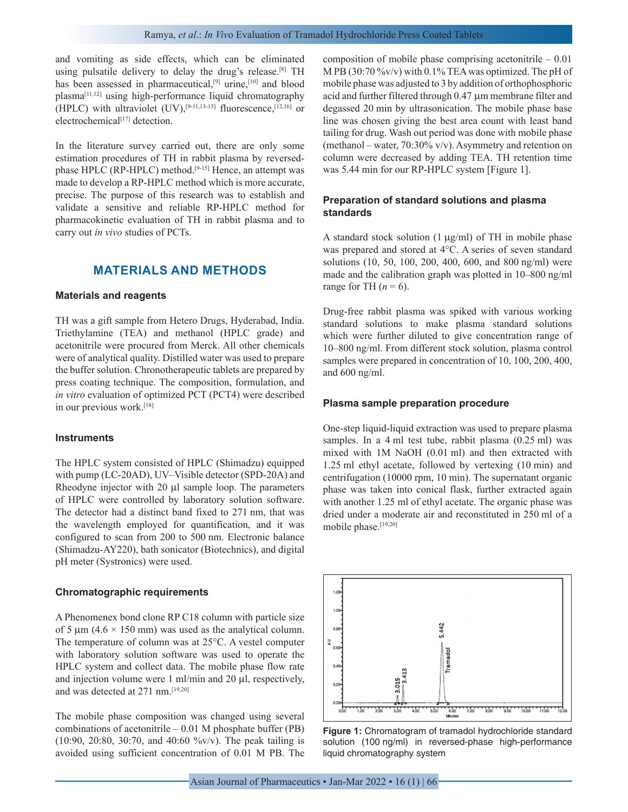and vomiting as side effects, which can be eliminated using pulsatile delivery to delay the drug's release.<sup>[8]</sup> TH has been assessed in pharmaceutical, $[9]$  urine, $[10]$  and blood plasma[11,12] using high-performance liquid chromatography (HPLC) with ultraviolet  $(UV)$ ,<sup>[9-11,13-15]</sup> fluorescence,<sup>[12,16]</sup> or electrochemical<sup>[17]</sup> detection.

In the literature survey carried out, there are only some estimation procedures of TH in rabbit plasma by reversedphase HPLC (RP-HPLC) method.<sup>[9-15]</sup> Hence, an attempt was made to develop a RP-HPLC method which is more accurate, precise. The purpose of this research was to establish and validate a sensitive and reliable RP-HPLC method for pharmacokinetic evaluation of TH in rabbit plasma and to carry out *in vivo* studies of PCTs.

# **MATERIALS AND METHODS**

## **Materials and reagents**

TH was a gift sample from Hetero Drugs, Hyderabad, India. Triethylamine (TEA) and methanol (HPLC grade) and acetonitrile were procured from Merck. All other chemicals were of analytical quality. Distilled water was used to prepare the buffer solution. Chronotherapeutic tablets are prepared by press coating technique. The composition, formulation, and *in vitro* evaluation of optimized PCT (PCT4) were described in our previous work.<sup>[18]</sup>

#### **Instruments**

The HPLC system consisted of HPLC (Shimadzu) equipped with pump (LC-20AD), UV–Visible detector (SPD-20A) and Rheodyne injector with 20 µl sample loop. The parameters of HPLC were controlled by laboratory solution software. The detector had a distinct band fixed to 271 nm, that was the wavelength employed for quantification, and it was configured to scan from 200 to 500 nm. Electronic balance (Shimadzu-AY220), bath sonicator (Biotechnics), and digital pH meter (Systronics) were used.

#### **Chromatographic requirements**

A Phenomenex bond clone RP C18 column with particle size of 5  $\mu$ m (4.6  $\times$  150 mm) was used as the analytical column. The temperature of column was at 25°C. A vestel computer with laboratory solution software was used to operate the HPLC system and collect data. The mobile phase flow rate and injection volume were 1 ml/min and 20 µl, respectively, and was detected at 271 nm.[19,20]

The mobile phase composition was changed using several combinations of acetonitrile  $-0.01$  M phosphate buffer (PB) (10:90, 20:80, 30:70, and 40:60 %v/v). The peak tailing is avoided using sufficient concentration of 0.01 M PB. The

composition of mobile phase comprising acetonitrile – 0.01 M PB (30:70 %v/v) with 0.1% TEA was optimized. The pH of mobile phase was adjusted to 3 by addition of orthophosphoric acid and further filtered through 0.47 µm membrane filter and degassed 20 min by ultrasonication. The mobile phase base line was chosen giving the best area count with least band tailing for drug. Wash out period was done with mobile phase (methanol – water,  $70:30\%$  v/v). Asymmetry and retention on column were decreased by adding TEA. TH retention time was 5.44 min for our RP-HPLC system [Figure 1].

# **Preparation of standard solutions and plasma standards**

A standard stock solution  $(1 \mu g/ml)$  of TH in mobile phase was prepared and stored at 4°C. A series of seven standard solutions (10, 50, 100, 200, 400, 600, and 800 ng/ml) were made and the calibration graph was plotted in 10–800 ng/ml range for TH  $(n = 6)$ .

Drug-free rabbit plasma was spiked with various working standard solutions to make plasma standard solutions which were further diluted to give concentration range of 10–800 ng/ml. From different stock solution, plasma control samples were prepared in concentration of 10, 100, 200, 400, and 600 ng/ml.

## **Plasma sample preparation procedure**

One-step liquid-liquid extraction was used to prepare plasma samples. In a 4 ml test tube, rabbit plasma (0.25 ml) was mixed with 1M NaOH (0.01 ml) and then extracted with 1.25 ml ethyl acetate, followed by vertexing (10 min) and centrifugation (10000 rpm, 10 min). The supernatant organic phase was taken into conical flask, further extracted again with another 1.25 ml of ethyl acetate. The organic phase was dried under a moderate air and reconstituted in 250 ml of a mobile phase.[19,20]



**Figure 1:** Chromatogram of tramadol hydrochloride standard solution (100 ng/ml) in reversed-phase high-performance liquid chromatography system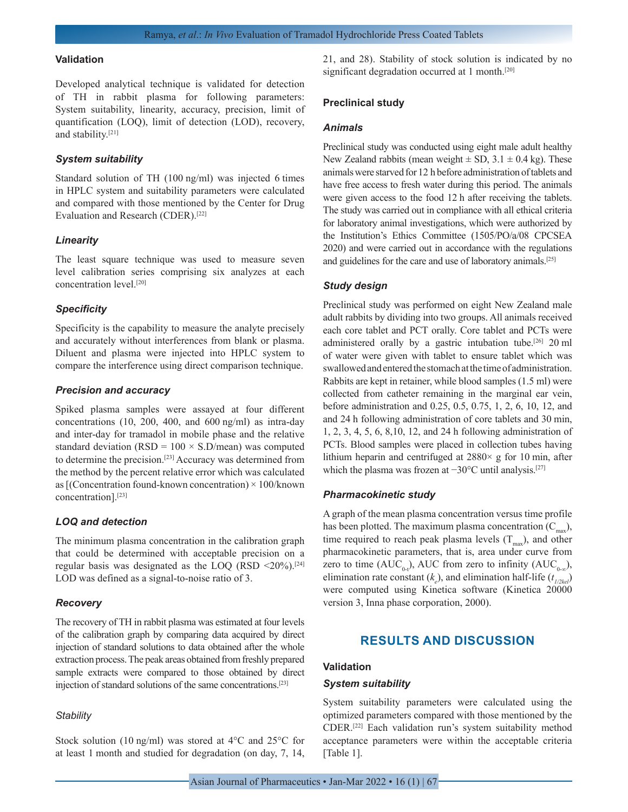#### **Validation**

Developed analytical technique is validated for detection of TH in rabbit plasma for following parameters: System suitability, linearity, accuracy, precision, limit of quantification (LOQ), limit of detection (LOD), recovery, and stability.[21]

## *System suitability*

Standard solution of TH (100 ng/ml) was injected 6 times in HPLC system and suitability parameters were calculated and compared with those mentioned by the Center for Drug Evaluation and Research (CDER).[22]

#### *Linearity*

The least square technique was used to measure seven level calibration series comprising six analyzes at each concentration level.[20]

#### *Specificity*

Specificity is the capability to measure the analyte precisely and accurately without interferences from blank or plasma. Diluent and plasma were injected into HPLC system to compare the interference using direct comparison technique.

#### *Precision and accuracy*

Spiked plasma samples were assayed at four different concentrations (10, 200, 400, and 600 ng/ml) as intra-day and inter-day for tramadol in mobile phase and the relative standard deviation ( $RSD = 100 \times S.D/mean$ ) was computed to determine the precision.[23] Accuracy was determined from the method by the percent relative error which was calculated as [(Concentration found-known concentration) × 100/known concentration].[23]

# *LOQ and detection*

The minimum plasma concentration in the calibration graph that could be determined with acceptable precision on a regular basis was designated as the LOQ (RSD  $\leq$ 20%).<sup>[24]</sup> LOD was defined as a signal-to-noise ratio of 3.

# *Recovery*

The recovery of TH in rabbit plasma was estimated at four levels of the calibration graph by comparing data acquired by direct injection of standard solutions to data obtained after the whole extraction process. The peak areas obtained from freshly prepared sample extracts were compared to those obtained by direct injection of standard solutions of the same concentrations.[23]

#### *Stability*

Stock solution (10 ng/ml) was stored at 4°C and 25°C for at least 1 month and studied for degradation (on day, 7, 14, 21, and 28). Stability of stock solution is indicated by no significant degradation occurred at 1 month.<sup>[20]</sup>

#### **Preclinical study**

#### *Animals*

Preclinical study was conducted using eight male adult healthy New Zealand rabbits (mean weight  $\pm$  SD, 3.1  $\pm$  0.4 kg). These animals were starved for 12 h before administration of tablets and have free access to fresh water during this period. The animals were given access to the food 12 h after receiving the tablets. The study was carried out in compliance with all ethical criteria for laboratory animal investigations, which were authorized by the Institution's Ethics Committee (1505/PO/a/08 CPCSEA 2020) and were carried out in accordance with the regulations and guidelines for the care and use of laboratory animals.[25]

# *Study design*

Preclinical study was performed on eight New Zealand male adult rabbits by dividing into two groups. All animals received each core tablet and PCT orally. Core tablet and PCTs were administered orally by a gastric intubation tube.[26] 20 ml of water were given with tablet to ensure tablet which was swallowed and entered the stomach at the time of administration. Rabbits are kept in retainer, while blood samples (1.5 ml) were collected from catheter remaining in the marginal ear vein, before administration and 0.25, 0.5, 0.75, 1, 2, 6, 10, 12, and and 24 h following administration of core tablets and 30 min, 1, 2, 3, 4, 5, 6, 8,10, 12, and 24 h following administration of PCTs. Blood samples were placed in collection tubes having lithium heparin and centrifuged at  $2880 \times g$  for 10 min, after which the plasma was frozen at −30°C until analysis.<sup>[27]</sup>

#### *Pharmacokinetic study*

A graph of the mean plasma concentration versus time profile has been plotted. The maximum plasma concentration  $(C_{\text{max}})$ , time required to reach peak plasma levels  $(T<sub>max</sub>)$ , and other pharmacokinetic parameters, that is, area under curve from zero to time (AUC<sub>0+</sub>), AUC from zero to infinity (AUC<sub>0-∞</sub>), elimination rate constant  $(k_e)$ , and elimination half-life  $(t_{1/2ke})$ were computed using Kinetica software (Kinetica 20000 version 3, Inna phase corporation, 2000).

# **RESULTS AND DISCUSSION**

# **Validation**

## *System suitability*

System suitability parameters were calculated using the optimized parameters compared with those mentioned by the CDER.[22] Each validation run's system suitability method acceptance parameters were within the acceptable criteria [Table 1].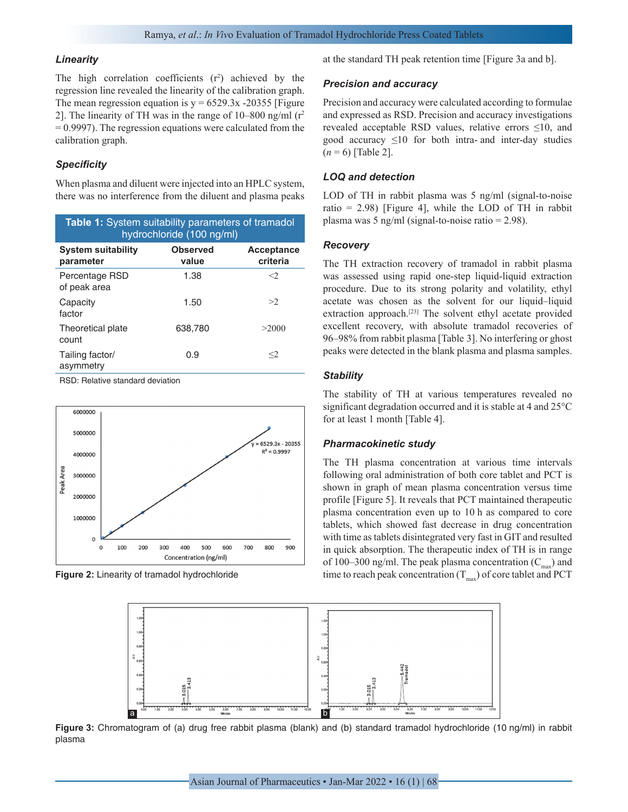#### *Linearity*

The high correlation coefficients  $(r^2)$  achieved by the regression line revealed the linearity of the calibration graph. The mean regression equation is  $y = 6529.3x - 20355$  [Figure 2]. The linearity of TH was in the range of  $10-800$  ng/ml ( $r^2$ )  $= 0.9997$ . The regression equations were calculated from the calibration graph.

# *Specificity*

When plasma and diluent were injected into an HPLC system, there was no interference from the diluent and plasma peaks

| <b>Table 1:</b> System suitability parameters of tramadol<br>hydrochloride (100 ng/ml) |                          |                               |  |
|----------------------------------------------------------------------------------------|--------------------------|-------------------------------|--|
| <b>System suitability</b><br>parameter                                                 | <b>Observed</b><br>value | <b>Acceptance</b><br>criteria |  |
| Percentage RSD<br>of peak area                                                         | 1.38                     | $\langle$                     |  |
| Capacity<br>factor                                                                     | 1.50                     | >2                            |  |
| Theoretical plate<br>count                                                             | 638.780                  | >2000                         |  |
| Tailing factor/<br>asymmetry                                                           | 0.9                      | $<$ 2                         |  |

RSD: Relative standard deviation



**Figure 2:** Linearity of tramadol hydrochloride

at the standard TH peak retention time [Figure 3a and b].

#### *Precision and accuracy*

Precision and accuracy were calculated according to formulae and expressed as RSD. Precision and accuracy investigations revealed acceptable RSD values, relative errors ≤10, and good accuracy  $\leq 10$  for both intra- and inter-day studies  $(n = 6)$  [Table 2].

# *LOQ and detection*

LOD of TH in rabbit plasma was 5 ng/ml (signal-to-noise ratio =  $2.98$ ) [Figure 4], while the LOD of TH in rabbit plasma was 5 ng/ml (signal-to-noise ratio = 2.98).

## *Recovery*

The TH extraction recovery of tramadol in rabbit plasma was assessed using rapid one-step liquid-liquid extraction procedure. Due to its strong polarity and volatility, ethyl acetate was chosen as the solvent for our liquid–liquid extraction approach.[23] The solvent ethyl acetate provided excellent recovery, with absolute tramadol recoveries of 96–98% from rabbit plasma [Table 3]. No interfering or ghost peaks were detected in the blank plasma and plasma samples.

### *Stability*

The stability of TH at various temperatures revealed no significant degradation occurred and it is stable at 4 and 25°C for at least 1 month [Table 4].

#### *Pharmacokinetic study*

The TH plasma concentration at various time intervals following oral administration of both core tablet and PCT is shown in graph of mean plasma concentration versus time profile [Figure 5]. It reveals that PCT maintained therapeutic plasma concentration even up to 10 h as compared to core tablets, which showed fast decrease in drug concentration with time as tablets disintegrated very fast in GIT and resulted in quick absorption. The therapeutic index of TH is in range of 100–300 ng/ml. The peak plasma concentration  $(C_{\text{max}})$  and time to reach peak concentration  $(T_{\text{max}})$  of core tablet and PCT



**Figure 3:** Chromatogram of (a) drug free rabbit plasma (blank) and (b) standard tramadol hydrochloride (10 ng/ml) in rabbit plasma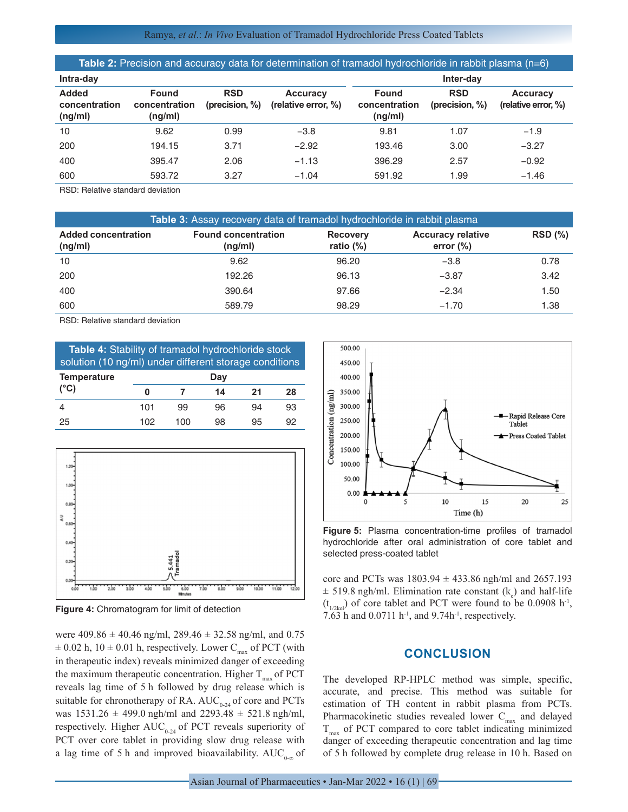# Ramya, *et al*.: *In Vivo* Evaluation of Tramadol Hydrochloride Press Coated Tablets

| Table 2: Precision and accuracy data for determination of tramadol hydrochloride in rabbit plasma $(n=6)$ |                                          |                              |                                        |                                          |                              |                                        |
|-----------------------------------------------------------------------------------------------------------|------------------------------------------|------------------------------|----------------------------------------|------------------------------------------|------------------------------|----------------------------------------|
| Intra-day                                                                                                 |                                          |                              |                                        |                                          | Inter-day                    |                                        |
| <b>Added</b><br>concentration<br>(ng/ml)                                                                  | <b>Found</b><br>concentration<br>(ng/ml) | <b>RSD</b><br>(precision, %) | <b>Accuracy</b><br>(relative error, %) | <b>Found</b><br>concentration<br>(ng/ml) | <b>RSD</b><br>(precision, %) | <b>Accuracy</b><br>(relative error, %) |
| 10                                                                                                        | 9.62                                     | 0.99                         | $-3.8$                                 | 9.81                                     | 1.07                         | $-1.9$                                 |
| 200                                                                                                       | 194.15                                   | 3.71                         | $-2.92$                                | 193.46                                   | 3.00                         | $-3.27$                                |
| 400                                                                                                       | 395.47                                   | 2.06                         | $-1.13$                                | 396.29                                   | 2.57                         | $-0.92$                                |
| 600                                                                                                       | 593.72                                   | 3.27                         | $-1.04$                                | 591.92                                   | 1.99                         | $-1.46$                                |

RSD: Relative standard deviation

| Table 3: Assay recovery data of tramadol hydrochloride in rabbit plasma |                                       |                                 |                                          |                |
|-------------------------------------------------------------------------|---------------------------------------|---------------------------------|------------------------------------------|----------------|
| <b>Added concentration</b><br>(ng/ml)                                   | <b>Found concentration</b><br>(ng/ml) | <b>Recovery</b><br>ratio $(\%)$ | <b>Accuracy relative</b><br>error $(\%)$ | <b>RSD</b> (%) |
| 10                                                                      | 9.62                                  | 96.20                           | $-3.8$                                   | 0.78           |
| 200                                                                     | 192.26                                | 96.13                           | $-3.87$                                  | 3.42           |
| 400                                                                     | 390.64                                | 97.66                           | $-2.34$                                  | 1.50           |
| 600                                                                     | 589.79                                | 98.29                           | $-1.70$                                  | 1.38           |

RSD: Relative standard deviation

| <b>Table 4:</b> Stability of tramadol hydrochloride stock<br>solution (10 ng/ml) under different storage conditions |     |    |    |    |  |
|---------------------------------------------------------------------------------------------------------------------|-----|----|----|----|--|
| Day                                                                                                                 |     |    |    |    |  |
| o                                                                                                                   |     | 14 | 21 | 28 |  |
| 101                                                                                                                 | 99  | 96 | 94 | 93 |  |
| 102                                                                                                                 | 100 | 98 | 95 | 92 |  |
|                                                                                                                     |     |    |    |    |  |



**Figure 4:** Chromatogram for limit of detection

were  $409.86 \pm 40.46$  ng/ml,  $289.46 \pm 32.58$  ng/ml, and 0.75  $\pm$  0.02 h, 10  $\pm$  0.01 h, respectively. Lower C<sub>max</sub> of PCT (with in therapeutic index) reveals minimized danger of exceeding the maximum therapeutic concentration. Higher  $T_{\text{max}}$  of PCT reveals lag time of 5 h followed by drug release which is suitable for chronotherapy of RA.  $AUC_{0.24}$  of core and PCTs was  $1531.26 \pm 499.0$  ngh/ml and  $2293.48 \pm 521.8$  ngh/ml, respectively. Higher  $AUC_{0.24}$  of PCT reveals superiority of PCT over core tablet in providing slow drug release with a lag time of 5 h and improved bioavailability. AUC<sub>0-∞</sub> of



**Figure 5:** Plasma concentration-time profiles of tramadol hydrochloride after oral administration of core tablet and selected press-coated tablet

core and PCTs was  $1803.94 \pm 433.86$  ngh/ml and  $2657.193$  $\pm$  519.8 ngh/ml. Elimination rate constant (k<sub>e</sub>) and half-life  $(t_{1/2kel})$  of core tablet and PCT were found to be 0.0908 h<sup>-1</sup>, 7.63 h and 0.0711 h-1, and 9.74h-1, respectively.

# **CONCLUSION**

The developed RP-HPLC method was simple, specific, accurate, and precise. This method was suitable for estimation of TH content in rabbit plasma from PCTs. Pharmacokinetic studies revealed lower  $C_{max}$  and delayed  $T_{\text{max}}$  of PCT compared to core tablet indicating minimized danger of exceeding therapeutic concentration and lag time of 5 h followed by complete drug release in 10 h. Based on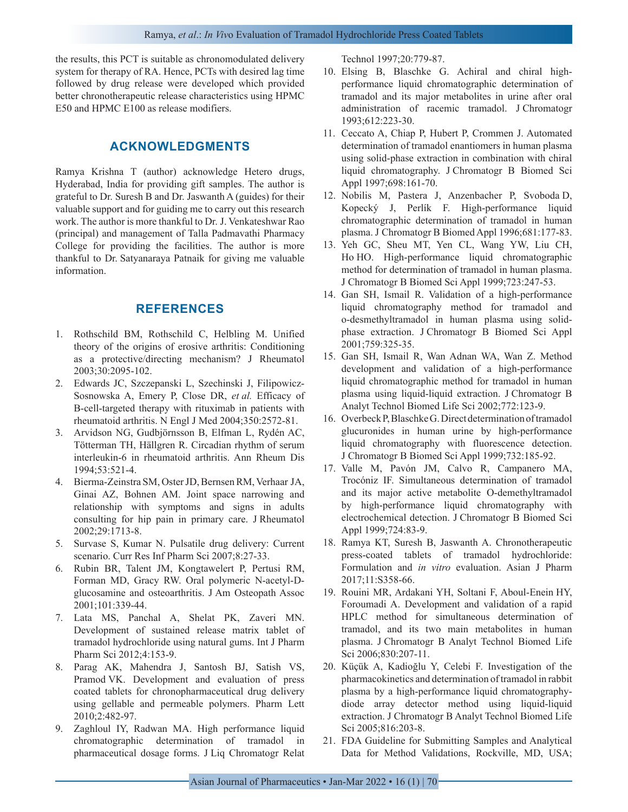the results, this PCT is suitable as chronomodulated delivery system for therapy of RA. Hence, PCTs with desired lag time followed by drug release were developed which provided better chronotherapeutic release characteristics using HPMC E50 and HPMC E100 as release modifiers.

# **ACKNOWLEDGMENTS**

Ramya Krishna T (author) acknowledge Hetero drugs, Hyderabad, India for providing gift samples. The author is grateful to Dr. Suresh B and Dr. Jaswanth A (guides) for their valuable support and for guiding me to carry out this research work. The author is more thankful to Dr. J. Venkateshwar Rao (principal) and management of Talla Padmavathi Pharmacy College for providing the facilities. The author is more thankful to Dr. Satyanaraya Patnaik for giving me valuable information.

# **REFERENCES**

- 1. Rothschild BM, Rothschild C, Helbling M. Unified theory of the origins of erosive arthritis: Conditioning as a protective/directing mechanism? J Rheumatol 2003;30:2095-102.
- 2. Edwards JC, Szczepanski L, Szechinski J, Filipowicz-Sosnowska A, Emery P, Close DR, *et al.* Efficacy of B-cell-targeted therapy with rituximab in patients with rheumatoid arthritis. N Engl J Med 2004;350:2572-81.
- 3. Arvidson NG, Gudbjörnsson B, Elfman L, Rydén AC, Tötterman TH, Hällgren R. Circadian rhythm of serum interleukin-6 in rheumatoid arthritis. Ann Rheum Dis 1994;53:521-4.
- 4. Bierma-Zeinstra SM, Oster JD, Bernsen RM, Verhaar JA, Ginai AZ, Bohnen AM. Joint space narrowing and relationship with symptoms and signs in adults consulting for hip pain in primary care. J Rheumatol 2002;29:1713-8.
- 5. Survase S, Kumar N. Pulsatile drug delivery: Current scenario. Curr Res Inf Pharm Sci 2007;8:27-33.
- 6. Rubin BR, Talent JM, Kongtawelert P, Pertusi RM, Forman MD, Gracy RW. Oral polymeric N-acetyl-Dglucosamine and osteoarthritis. J Am Osteopath Assoc 2001;101:339-44.
- 7. Lata MS, Panchal A, Shelat PK, Zaveri MN. Development of sustained release matrix tablet of tramadol hydrochloride using natural gums. Int J Pharm Pharm Sci 2012;4:153-9.
- 8. Parag AK, Mahendra J, Santosh BJ, Satish VS, Pramod VK. Development and evaluation of press coated tablets for chronopharmaceutical drug delivery using gellable and permeable polymers. Pharm Lett 2010;2:482-97.
- 9. Zaghloul IY, Radwan MA. High performance liquid chromatographic determination of tramadol in pharmaceutical dosage forms. J Liq Chromatogr Relat

Technol 1997;20:779-87.

- 10. Elsing B, Blaschke G. Achiral and chiral highperformance liquid chromatographic determination of tramadol and its major metabolites in urine after oral administration of racemic tramadol. J Chromatogr 1993;612:223-30.
- 11. Ceccato A, Chiap P, Hubert P, Crommen J. Automated determination of tramadol enantiomers in human plasma using solid-phase extraction in combination with chiral liquid chromatography. J Chromatogr B Biomed Sci Appl 1997;698:161-70.
- 12. Nobilis M, Pastera J, Anzenbacher P, Svoboda D, Kopecký J, Perlík F. High-performance liquid chromatographic determination of tramadol in human plasma. J Chromatogr B Biomed Appl 1996;681:177-83.
- 13. Yeh GC, Sheu MT, Yen CL, Wang YW, Liu CH, Ho HO. High-performance liquid chromatographic method for determination of tramadol in human plasma. J Chromatogr B Biomed Sci Appl 1999;723:247-53.
- 14. Gan SH, Ismail R. Validation of a high-performance liquid chromatography method for tramadol and o-desmethyltramadol in human plasma using solidphase extraction. J Chromatogr B Biomed Sci Appl 2001;759:325-35.
- 15. Gan SH, Ismail R, Wan Adnan WA, Wan Z. Method development and validation of a high-performance liquid chromatographic method for tramadol in human plasma using liquid-liquid extraction. J Chromatogr B Analyt Technol Biomed Life Sci 2002;772:123-9.
- 16. Overbeck P, Blaschke G. Direct determination of tramadol glucuronides in human urine by high-performance liquid chromatography with fluorescence detection. J Chromatogr B Biomed Sci Appl 1999;732:185-92.
- 17. Valle M, Pavón JM, Calvo R, Campanero MA, Trocóniz IF. Simultaneous determination of tramadol and its major active metabolite O-demethyltramadol by high-performance liquid chromatography with electrochemical detection. J Chromatogr B Biomed Sci Appl 1999;724:83-9.
- 18. Ramya KT, Suresh B, Jaswanth A. Chronotherapeutic press-coated tablets of tramadol hydrochloride: Formulation and *in vitro* evaluation. Asian J Pharm 2017;11:S358-66.
- 19. Rouini MR, Ardakani YH, Soltani F, Aboul-Enein HY, Foroumadi A. Development and validation of a rapid HPLC method for simultaneous determination of tramadol, and its two main metabolites in human plasma. J Chromatogr B Analyt Technol Biomed Life Sci 2006;830:207-11.
- 20. Küçük A, Kadioğlu Y, Celebi F. Investigation of the pharmacokinetics and determination of tramadol in rabbit plasma by a high-performance liquid chromatographydiode array detector method using liquid-liquid extraction. J Chromatogr B Analyt Technol Biomed Life Sci 2005;816:203-8.
- 21. FDA Guideline for Submitting Samples and Analytical Data for Method Validations, Rockville, MD, USA;